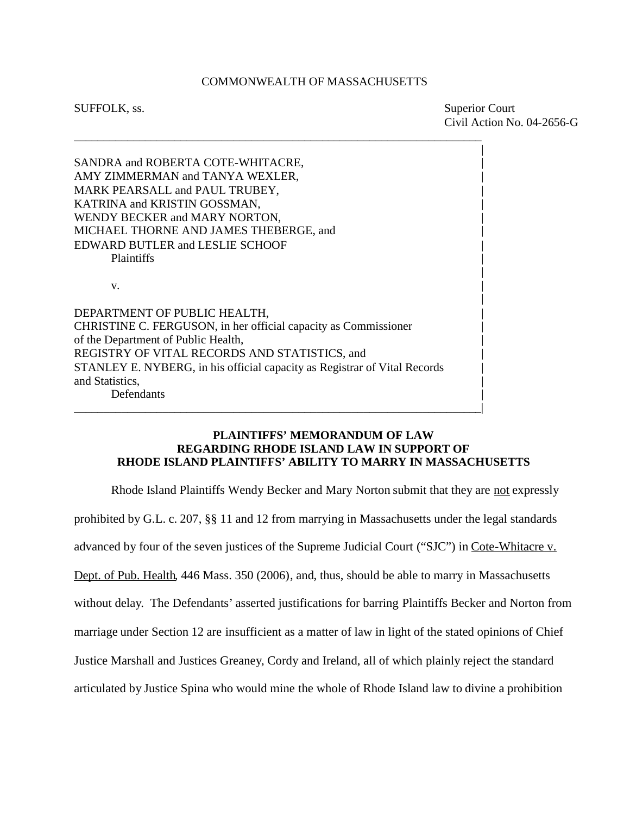#### COMMONWEALTH OF MASSACHUSETTS

\_\_\_\_\_\_\_\_\_\_\_\_\_\_\_\_\_\_\_\_\_\_\_\_\_\_\_\_\_\_\_\_\_\_\_\_\_\_\_\_\_\_\_\_\_\_\_\_\_\_\_\_\_\_\_\_\_\_\_\_\_\_\_\_\_\_\_\_\_

SUFFOLK, ss. Superior Court Civil Action No. 04-2656-G

|

|

|

SANDRA and ROBERTA COTE-WHITACRE. AMY ZIMMERMAN and TANYA WEXLER, MARK PEARSALL and PAUL TRUBEY, KATRINA and KRISTIN GOSSMAN, WENDY BECKER and MARY NORTON, MICHAEL THORNE AND JAMES THEBERGE, and | EDWARD BUTLER and LESLIE SCHOOF | Plaintiffs **Plaintiffs Plaintiffs**  $\mathbf v$ . DEPARTMENT OF PUBLIC HEALTH, CHRISTINE C. FERGUSON, in her official capacity as Commissioner | of the Department of Public Health, |

REGISTRY OF VITAL RECORDS AND STATISTICS, and STANLEY E. NYBERG, in his official capacity as Registrar of Vital Records | and Statistics, | Defendants |

\_\_\_\_\_\_\_\_\_\_\_\_\_\_\_\_\_\_\_\_\_\_\_\_\_\_\_\_\_\_\_\_\_\_\_\_\_\_\_\_\_\_\_\_\_\_\_\_\_\_\_\_\_\_\_\_\_\_\_\_\_\_\_\_\_\_\_\_\_|

### **PLAINTIFFS' MEMORANDUM OF LAW REGARDING RHODE ISLAND LAW IN SUPPORT OF RHODE ISLAND PLAINTIFFS' ABILITY TO MARRY IN MASSACHUSETTS**

Rhode Island Plaintiffs Wendy Becker and Mary Norton submit that they are not expressly prohibited by G.L. c. 207, §§ 11 and 12 from marrying in Massachusetts under the legal standards advanced by four of the seven justices of the Supreme Judicial Court ("SJC") in Cote-Whitacre v. Dept. of Pub. Health, 446 Mass. 350 (2006), and, thus, should be able to marry in Massachusetts without delay. The Defendants' asserted justifications for barring Plaintiffs Becker and Norton from marriage under Section 12 are insufficient as a matter of law in light of the stated opinions of Chief Justice Marshall and Justices Greaney, Cordy and Ireland, all of which plainly reject the standard articulated by Justice Spina who would mine the whole of Rhode Island law to divine a prohibition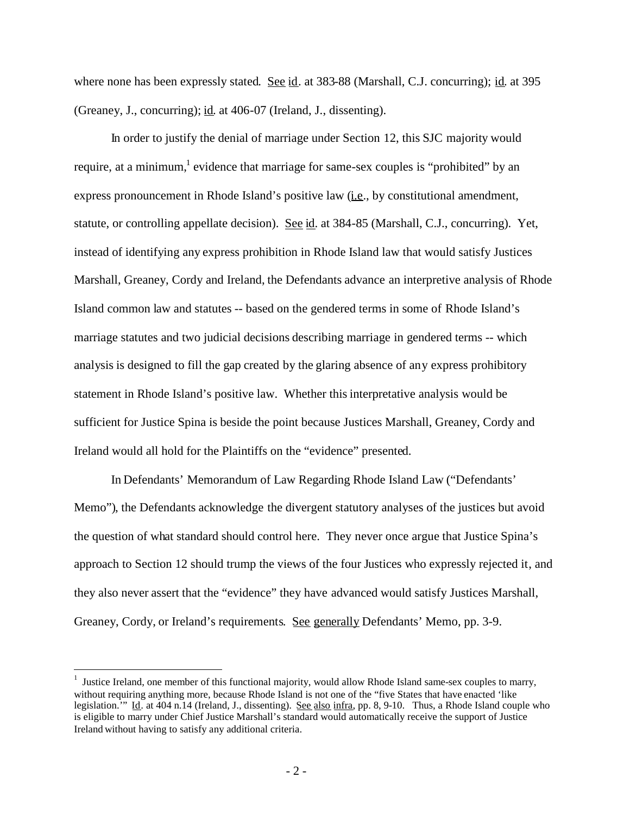where none has been expressly stated. See id. at 383-88 (Marshall, C.J. concurring); id. at 395 (Greaney, J., concurring); id. at 406-07 (Ireland, J., dissenting).

In order to justify the denial of marriage under Section 12, this SJC majority would require, at a minimum,<sup>[1](#page-1-0)</sup> evidence that marriage for same-sex couples is "prohibited" by an express pronouncement in Rhode Island's positive law (i.e., by constitutional amendment, statute, or controlling appellate decision). See id. at 384-85 (Marshall, C.J., concurring). Yet, instead of identifying any express prohibition in Rhode Island law that would satisfy Justices Marshall, Greaney, Cordy and Ireland, the Defendants advance an interpretive analysis of Rhode Island common law and statutes -- based on the gendered terms in some of Rhode Island's marriage statutes and two judicial decisions describing marriage in gendered terms -- which analysis is designed to fill the gap created by the glaring absence of any express prohibitory statement in Rhode Island's positive law. Whether thisinterpretative analysis would be sufficient for Justice Spina is beside the point because Justices Marshall, Greaney, Cordy and Ireland would all hold for the Plaintiffs on the "evidence" presented.

In Defendants' Memorandum of Law Regarding Rhode Island Law ("Defendants' Memo"), the Defendants acknowledge the divergent statutory analyses of the justices but avoid the question of what standard should control here. They never once argue that Justice Spina's approach to Section 12 should trump the views of the four Justices who expressly rejected it, and they also never assert that the "evidence" they have advanced would satisfy Justices Marshall, Greaney, Cordy, or Ireland's requirements. See generally Defendants' Memo, pp. 3-9.

<span id="page-1-0"></span><sup>1</sup> Justice Ireland, one member of this functional majority, would allow Rhode Island same-sex couples to marry, without requiring anything more, because Rhode Island is not one of the "five States that have enacted 'like legislation." Id. at 404 n.14 (Ireland, J., dissenting). See also infra, pp. 8, 9-10. Thus, a Rhode Island couple who is eligible to marry under Chief Justice Marshall's standard would automatically receive the support of Justice Ireland without having to satisfy any additional criteria.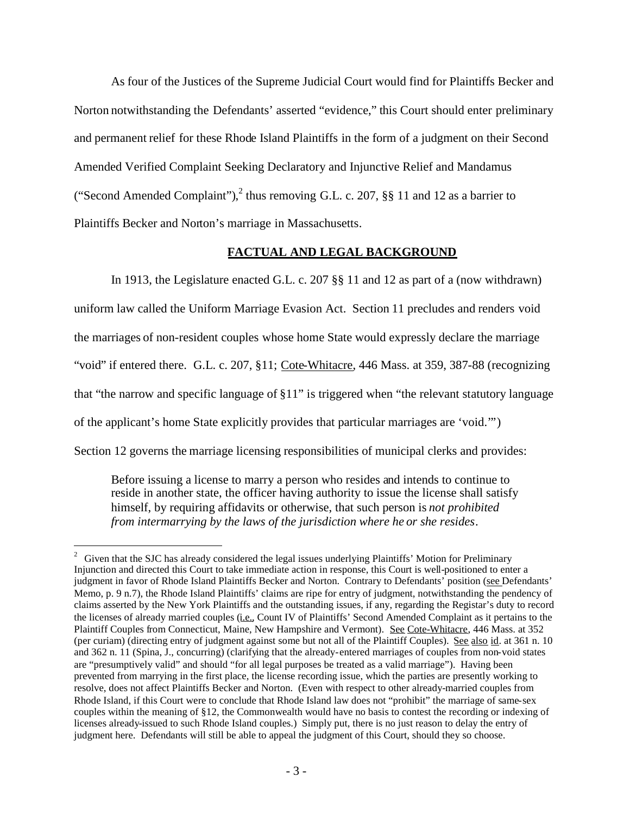As four of the Justices of the Supreme Judicial Court would find for Plaintiffs Becker and Norton notwithstanding the Defendants' asserted "evidence," this Court should enter preliminary and permanent relief for these Rhode Island Plaintiffs in the form of a judgment on their Second Amended Verified Complaint Seeking Declaratory and Injunctive Relief and Mandamus ("Second Amended Complaint"),<sup>[2](#page-2-0)</sup> thus removing G.L. c. 207, §§ 11 and 12 as a barrier to Plaintiffs Becker and Norton's marriage in Massachusetts.

#### **FACTUAL AND LEGAL BACKGROUND**

In 1913, the Legislature enacted G.L. c. 207 §§ 11 and 12 as part of a (now withdrawn) uniform law called the Uniform Marriage Evasion Act. Section 11 precludes and renders void the marriages of non-resident couples whose home State would expressly declare the marriage "void" if entered there. G.L. c. 207, §11; Cote-Whitacre, 446 Mass. at 359, 387-88 (recognizing that "the narrow and specific language of §11" is triggered when "the relevant statutory language of the applicant's home State explicitly provides that particular marriages are 'void.'") Section 12 governs the marriage licensing responsibilities of municipal clerks and provides:

Before issuing a license to marry a person who resides and intends to continue to reside in another state, the officer having authority to issue the license shall satisfy himself, by requiring affidavits or otherwise, that such person is *not prohibited from intermarrying by the laws of the jurisdiction where he or she resides*.

<span id="page-2-0"></span><sup>&</sup>lt;sup>2</sup> Given that the SJC has already considered the legal issues underlying Plaintiffs' Motion for Preliminary Injunction and directed this Court to take immediate action in response, this Court is well-positioned to enter a judgment in favor of Rhode Island Plaintiffs Becker and Norton. Contrary to Defendants' position (see Defendants' Memo, p. 9 n.7), the Rhode Island Plaintiffs' claims are ripe for entry of judgment, notwithstanding the pendency of claims asserted by the New York Plaintiffs and the outstanding issues, if any, regarding the Registar's duty to record the licenses of already married couples (i.e., Count IV of Plaintiffs' Second Amended Complaint as it pertains to the Plaintiff Couples from Connecticut, Maine, New Hampshire and Vermont). See Cote-Whitacre, 446 Mass. at 352 (per curiam) (directing entry of judgment against some but not all of the Plaintiff Couples). See also id. at 361 n. 10 and 362 n. 11 (Spina, J., concurring) (clarifying that the already-entered marriages of couples from non-void states are "presumptively valid" and should "for all legal purposes be treated as a valid marriage"). Having been prevented from marrying in the first place, the license recording issue, which the parties are presently working to resolve, does not affect Plaintiffs Becker and Norton. (Even with respect to other already-married couples from Rhode Island, if this Court were to conclude that Rhode Island law does not "prohibit" the marriage of same-sex couples within the meaning of §12, the Commonwealth would have no basis to contest the recording or indexing of licenses already-issued to such Rhode Island couples.) Simply put, there is no just reason to delay the entry of judgment here. Defendants will still be able to appeal the judgment of this Court, should they so choose.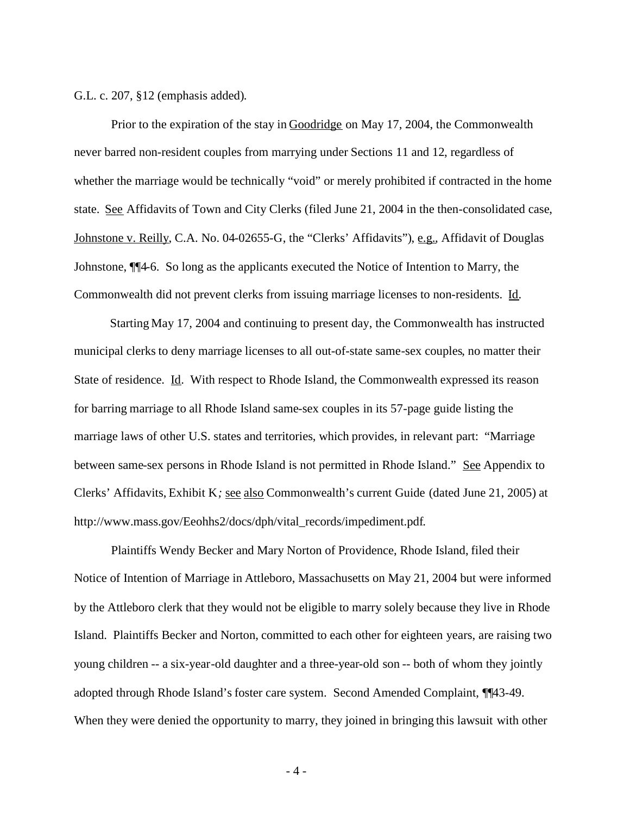G.L. c. 207, §12 (emphasis added).

Prior to the expiration of the stay in Goodridge on May 17, 2004, the Commonwealth never barred non-resident couples from marrying under Sections 11 and 12, regardless of whether the marriage would be technically "void" or merely prohibited if contracted in the home state. See Affidavits of Town and City Clerks (filed June 21, 2004 in the then-consolidated case, Johnstone v. Reilly, C.A. No. 04-02655-G, the "Clerks' Affidavits"), e.g., Affidavit of Douglas Johnstone, ¶¶4-6. So long as the applicants executed the Notice of Intention to Marry, the Commonwealth did not prevent clerks from issuing marriage licenses to non-residents. Id.

Starting May 17, 2004 and continuing to present day, the Commonwealth has instructed municipal clerks to deny marriage licenses to all out-of-state same-sex couples, no matter their State of residence. Id. With respect to Rhode Island, the Commonwealth expressed its reason for barring marriage to all Rhode Island same-sex couples in its 57-page guide listing the marriage laws of other U.S. states and territories, which provides, in relevant part: "Marriage between same-sex persons in Rhode Island is not permitted in Rhode Island." See Appendix to Clerks' Affidavits, Exhibit K*;* see also Commonwealth's current Guide (dated June 21, 2005) at http://www.mass.gov/Eeohhs2/docs/dph/vital\_records/impediment.pdf.

Plaintiffs Wendy Becker and Mary Norton of Providence, Rhode Island, filed their Notice of Intention of Marriage in Attleboro, Massachusetts on May 21, 2004 but were informed by the Attleboro clerk that they would not be eligible to marry solely because they live in Rhode Island. Plaintiffs Becker and Norton, committed to each other for eighteen years, are raising two young children -- a six-year-old daughter and a three-year-old son -- both of whom they jointly adopted through Rhode Island's foster care system. Second Amended Complaint, ¶¶43-49. When they were denied the opportunity to marry, they joined in bringing this lawsuit with other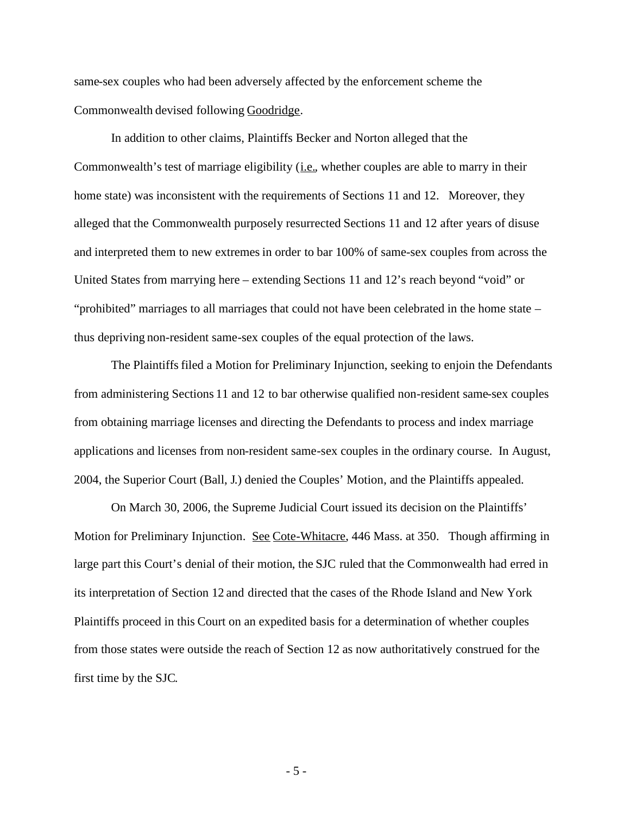same-sex couples who had been adversely affected by the enforcement scheme the Commonwealth devised following Goodridge*.*

In addition to other claims, Plaintiffs Becker and Norton alleged that the Commonwealth's test of marriage eligibility (i.e., whether couples are able to marry in their home state) was inconsistent with the requirements of Sections 11 and 12. Moreover, they alleged that the Commonwealth purposely resurrected Sections 11 and 12 after years of disuse and interpreted them to new extremes in order to bar 100% of same-sex couples from across the United States from marrying here – extending Sections 11 and 12's reach beyond "void" or "prohibited" marriages to all marriages that could not have been celebrated in the home state – thus depriving non-resident same-sex couples of the equal protection of the laws.

The Plaintiffs filed a Motion for Preliminary Injunction, seeking to enjoin the Defendants from administering Sections 11 and 12 to bar otherwise qualified non-resident same-sex couples from obtaining marriage licenses and directing the Defendants to process and index marriage applications and licenses from non-resident same-sex couples in the ordinary course. In August, 2004, the Superior Court (Ball, J.) denied the Couples' Motion, and the Plaintiffs appealed.

On March 30, 2006, the Supreme Judicial Court issued its decision on the Plaintiffs' Motion for Preliminary Injunction. See Cote-Whitacre, 446 Mass. at 350. Though affirming in large part this Court's denial of their motion, the SJC ruled that the Commonwealth had erred in its interpretation of Section 12 and directed that the cases of the Rhode Island and New York Plaintiffs proceed in this Court on an expedited basis for a determination of whether couples from those states were outside the reach of Section 12 as now authoritatively construed for the first time by the SJC.

- 5 -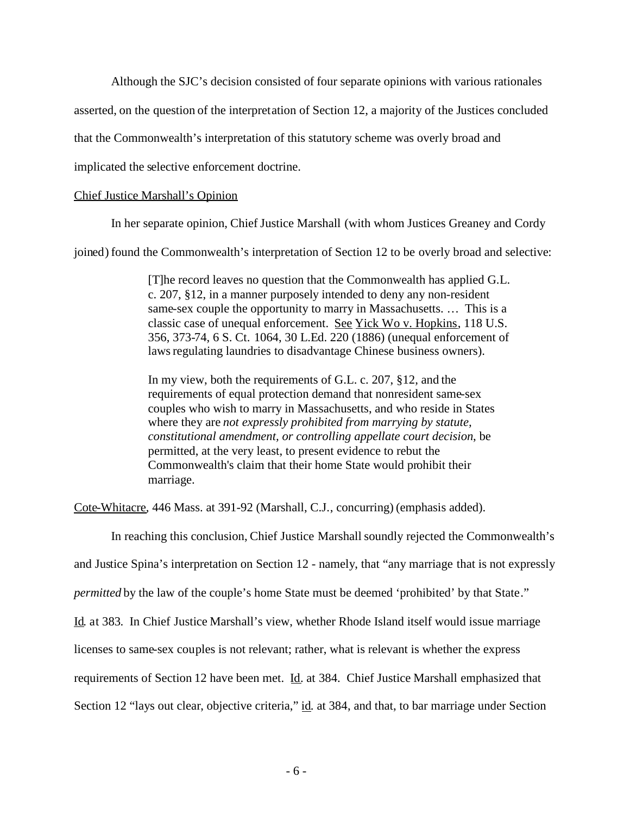Although the SJC's decision consisted of four separate opinions with various rationales

asserted, on the question of the interpretation of Section 12, a majority of the Justices concluded

that the Commonwealth's interpretation of this statutory scheme was overly broad and

implicated the selective enforcement doctrine.

#### Chief Justice Marshall's Opinion

In her separate opinion, Chief Justice Marshall (with whom Justices Greaney and Cordy

joined) found the Commonwealth's interpretation of Section 12 to be overly broad and selective:

[T]he record leaves no question that the Commonwealth has applied G.L. c. 207, §12, in a manner purposely intended to deny any non-resident same-sex couple the opportunity to marry in Massachusetts. … This is a classic case of unequal enforcement. See Yick Wo v. Hopkins, 118 U.S. 356, 373-74, 6 S. Ct. 1064, 30 L.Ed. 220 (1886) (unequal enforcement of laws regulating laundries to disadvantage Chinese business owners).

In my view, both the requirements of G.L. c. 207, §12, and the requirements of equal protection demand that nonresident same-sex couples who wish to marry in Massachusetts, and who reside in States where they are *not expressly prohibited from marrying by statute, constitutional amendment, or controlling appellate court decision*, be permitted, at the very least, to present evidence to rebut the Commonwealth's claim that their home State would prohibit their marriage.

Cote-Whitacre, 446 Mass. at 391-92 (Marshall, C.J., concurring) (emphasis added).

In reaching this conclusion, Chief Justice Marshall soundly rejected the Commonwealth's and Justice Spina's interpretation on Section 12 - namely, that "any marriage that is not expressly *permitted* by the law of the couple's home State must be deemed 'prohibited' by that State." Id. at 383. In Chief Justice Marshall's view, whether Rhode Island itself would issue marriage licenses to same-sex couples is not relevant; rather, what is relevant is whether the express requirements of Section 12 have been met. Id. at 384. Chief Justice Marshall emphasized that Section 12 "lays out clear, objective criteria," id. at 384, and that, to bar marriage under Section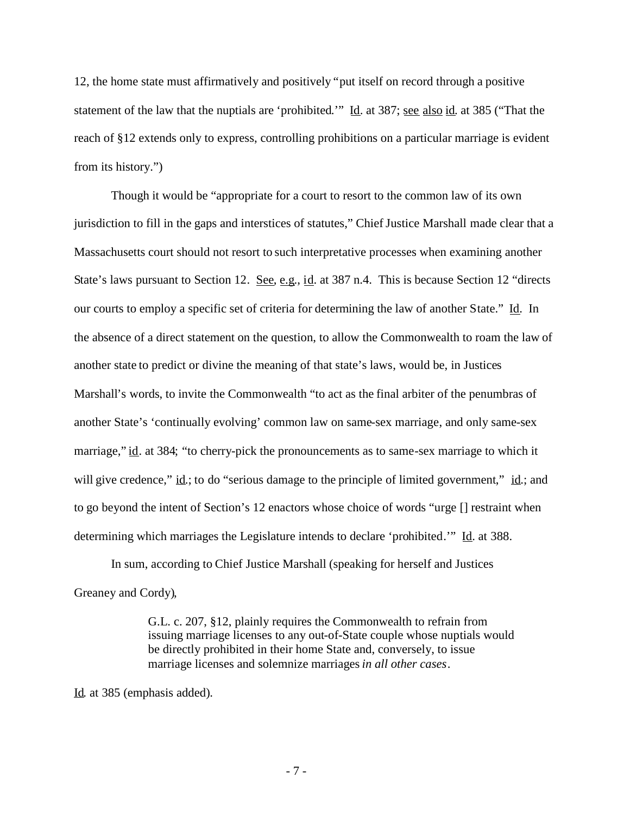12, the home state must affirmatively and positively "put itself on record through a positive statement of the law that the nuptials are 'prohibited.'" Id. at 387; see also id. at 385 ("That the reach of §12 extends only to express, controlling prohibitions on a particular marriage is evident from its history.")

Though it would be "appropriate for a court to resort to the common law of its own jurisdiction to fill in the gaps and interstices of statutes," Chief Justice Marshall made clear that a Massachusetts court should not resort to such interpretative processes when examining another State's laws pursuant to Section 12. See, e.g., id. at 387 n.4. This is because Section 12 "directs" our courts to employ a specific set of criteria for determining the law of another State." Id. In the absence of a direct statement on the question, to allow the Commonwealth to roam the law of another state to predict or divine the meaning of that state's laws, would be, in Justices Marshall's words, to invite the Commonwealth "to act as the final arbiter of the penumbras of another State's 'continually evolving' common law on same-sex marriage, and only same-sex marriage," id. at 384; "to cherry-pick the pronouncements as to same-sex marriage to which it will give credence,"  $\underline{\text{id}}$ ; to do "serious damage to the principle of limited government,"  $\underline{\text{id}}$ ; and to go beyond the intent of Section's 12 enactors whose choice of words "urge [] restraint when determining which marriages the Legislature intends to declare 'prohibited.'" Id. at 388.

In sum, according to Chief Justice Marshall (speaking for herself and Justices Greaney and Cordy),

> G.L. c. 207, §12, plainly requires the Commonwealth to refrain from issuing marriage licenses to any out-of-State couple whose nuptials would be directly prohibited in their home State and, conversely, to issue marriage licenses and solemnize marriages*in all other cases*.

Id. at 385 (emphasis added).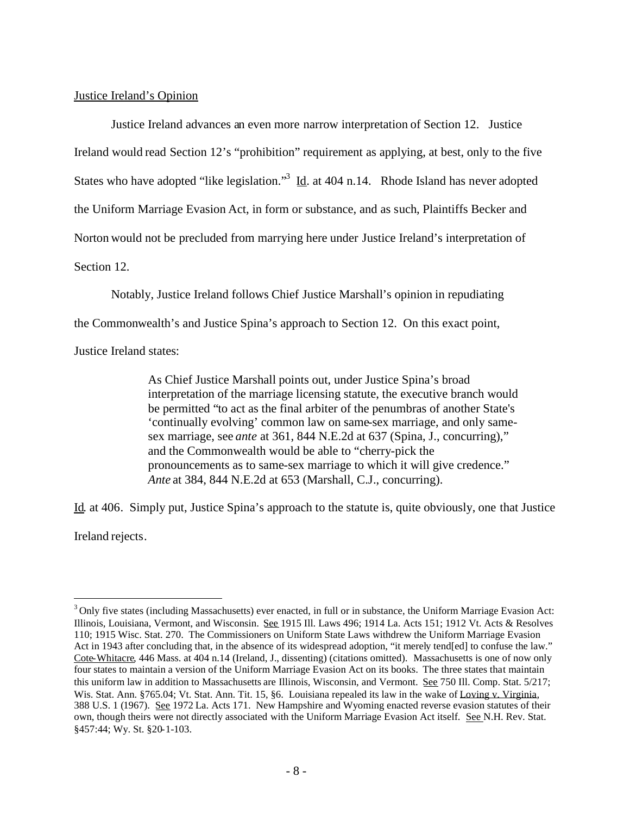Justice Ireland's Opinion

Justice Ireland advances an even more narrow interpretation of Section 12. Justice Ireland would read Section 12's "prohibition" requirement as applying, at best, only to the five States who have adopted "like legislation."<sup>[3](#page-7-0)</sup> Id. at 404 n.14. Rhode Island has never adopted the Uniform Marriage Evasion Act, in form or substance, and as such, Plaintiffs Becker and Norton would not be precluded from marrying here under Justice Ireland's interpretation of Section 12.

Notably, Justice Ireland follows Chief Justice Marshall's opinion in repudiating

the Commonwealth's and Justice Spina's approach to Section 12. On this exact point,

Justice Ireland states:

As Chief Justice Marshall points out, under Justice Spina's broad interpretation of the marriage licensing statute, the executive branch would be permitted "to act as the final arbiter of the penumbras of another State's 'continually evolving' common law on same-sex marriage, and only samesex marriage, see *ante* at 361, 844 N.E.2d at 637 (Spina, J., concurring)," and the Commonwealth would be able to "cherry-pick the pronouncements as to same-sex marriage to which it will give credence." *Ante* at 384, 844 N.E.2d at 653 (Marshall, C.J., concurring).

Id. at 406. Simply put, Justice Spina's approach to the statute is, quite obviously, one that Justice Ireland rejects.

<span id="page-7-0"></span><sup>&</sup>lt;sup>3</sup> Only five states (including Massachusetts) ever enacted, in full or in substance, the Uniform Marriage Evasion Act: Illinois, Louisiana, Vermont, and Wisconsin. See 1915 Ill. Laws 496; 1914 La. Acts 151; 1912 Vt. Acts & Resolves 110; 1915 Wisc. Stat. 270. The Commissioners on Uniform State Laws withdrew the Uniform Marriage Evasion Act in 1943 after concluding that, in the absence of its widespread adoption, "it merely tend[ed] to confuse the law." Cote-Whitacre, 446 Mass. at 404 n.14 (Ireland, J., dissenting) (citations omitted). Massachusetts is one of now only four states to maintain a version of the Uniform Marriage Evasion Act on its books. The three states that maintain this uniform law in addition to Massachusetts are Illinois, Wisconsin, and Vermont. See 750 Ill. Comp. Stat. 5/217; Wis. Stat. Ann. §765.04; Vt. Stat. Ann. Tit. 15, §6. Louisiana repealed its law in the wake of Loving v. Virginia*,* 388 U.S. 1 (1967). See 1972 La. Acts 171. New Hampshire and Wyoming enacted reverse evasion statutes of their own, though theirs were not directly associated with the Uniform Marriage Evasion Act itself. See N.H. Rev. Stat. §457:44; Wy. St. §20-1-103.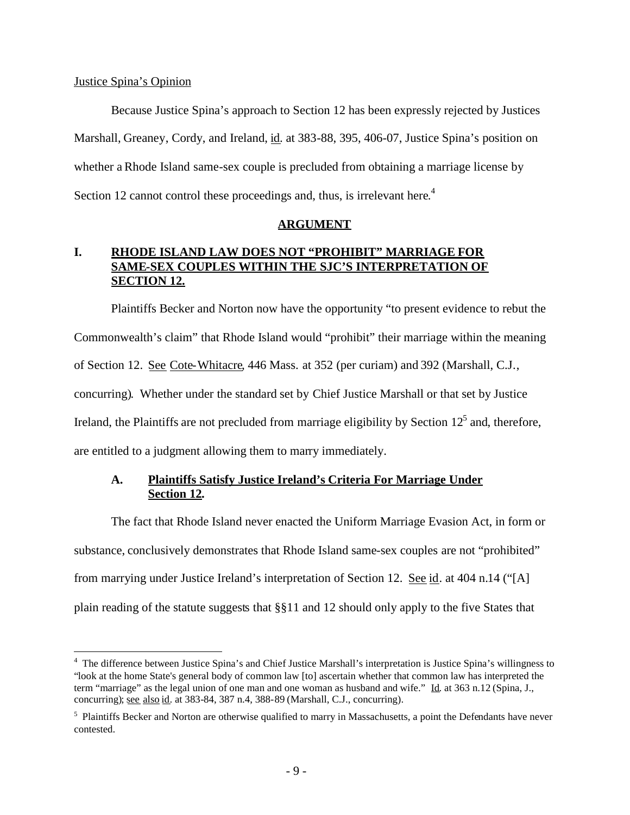### Justice Spina's Opinion

Because Justice Spina's approach to Section 12 has been expressly rejected by Justices Marshall, Greaney, Cordy, and Ireland, id. at 383-88, 395, 406-07, Justice Spina's position on whether a Rhode Island same-sex couple is precluded from obtaining a marriage license by Section12 cannot control these proceedings and, thus, is irrelevant here.<sup>4</sup>

### **ARGUMENT**

## **I. RHODE ISLAND LAW DOES NOT "PROHIBIT" MARRIAGE FOR SAME-SEX COUPLES WITHIN THE SJC'S INTERPRETATION OF SECTION 12.**

Plaintiffs Becker and Norton now have the opportunity "to present evidence to rebut the Commonwealth's claim" that Rhode Island would "prohibit" their marriage within the meaning of Section 12. See Cote-Whitacre, 446 Mass. at 352 (per curiam) and 392 (Marshall, C.J., concurring). Whether under the standard set by Chief Justice Marshall or that set by Justice Ireland,the Plaintiffs are not precluded from marriage eligibility by Section  $12<sup>5</sup>$  and, therefore, are entitled to a judgment allowing them to marry immediately.

# **A. Plaintiffs Satisfy Justice Ireland's Criteria For Marriage Under Section 12.**

The fact that Rhode Island never enacted the Uniform Marriage Evasion Act, in form or substance, conclusively demonstrates that Rhode Island same-sex couples are not "prohibited" from marrying under Justice Ireland's interpretation of Section 12. See id. at 404 n.14 ("[A] plain reading of the statute suggests that §§11 and 12 should only apply to the five States that

<span id="page-8-0"></span><sup>4</sup> The difference between Justice Spina's and Chief Justice Marshall's interpretation is Justice Spina's willingness to "look at the home State's general body of common law [to] ascertain whether that common law has interpreted the term "marriage" as the legal union of one man and one woman as husband and wife." Id. at 363 n.12 (Spina, J., concurring); see also id. at 383-84, 387 n.4, 388-89 (Marshall, C.J., concurring).

<span id="page-8-1"></span> $<sup>5</sup>$  Plaintiffs Becker and Norton are otherwise qualified to marry in Massachusetts, a point the Defendants have never</sup> contested.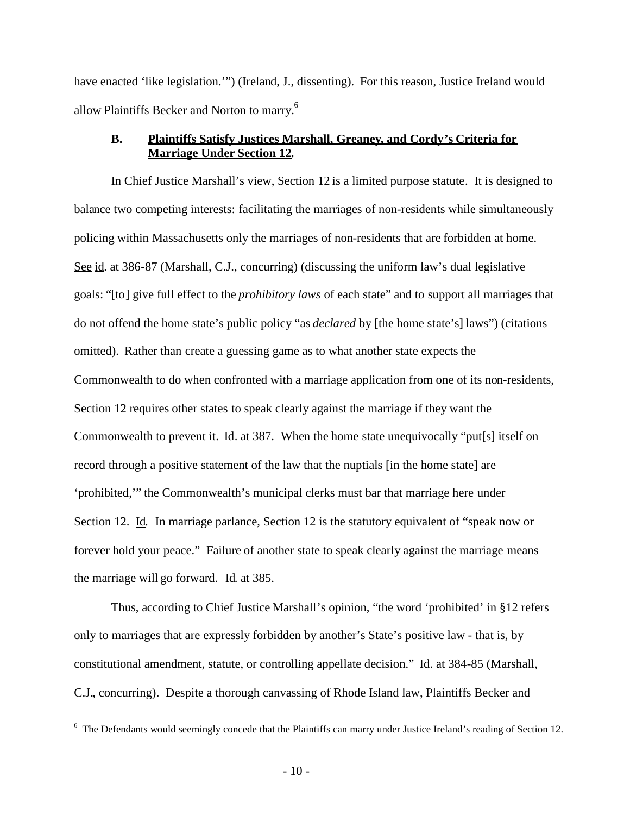have enacted 'like legislation.'") (Ireland, J., dissenting). For this reason, Justice Ireland would allow Plaintiffs Becker and Norton to marry.[6](#page-9-0)

### **B. Plaintiffs Satisfy Justices Marshall, Greaney, and Cordy's Criteria for Marriage Under Section 12.**

In Chief Justice Marshall's view, Section 12 is a limited purpose statute. It is designed to balance two competing interests: facilitating the marriages of non-residents while simultaneously policing within Massachusetts only the marriages of non-residents that are forbidden at home. See id. at 386-87 (Marshall, C.J., concurring) (discussing the uniform law's dual legislative goals: "[to] give full effect to the *prohibitory laws* of each state" and to support all marriages that do not offend the home state's public policy "as *declared* by [the home state's] laws") (citations omitted). Rather than create a guessing game as to what another state expects the Commonwealth to do when confronted with a marriage application from one of its non-residents, Section 12 requires other states to speak clearly against the marriage if they want the Commonwealth to prevent it. Id. at 387. When the home state unequivocally "put[s] itself on record through a positive statement of the law that the nuptials [in the home state] are 'prohibited,'" the Commonwealth's municipal clerks must bar that marriage here under Section 12. Id. In marriage parlance, Section 12 is the statutory equivalent of "speak now or forever hold your peace." Failure of another state to speak clearly against the marriage means the marriage will go forward. Id. at 385.

Thus, according to Chief Justice Marshall's opinion, "the word 'prohibited' in §12 refers only to marriages that are expressly forbidden by another's State's positive law - that is, by constitutional amendment, statute, or controlling appellate decision." Id. at 384-85 (Marshall, C.J., concurring). Despite a thorough canvassing of Rhode Island law, Plaintiffs Becker and

<span id="page-9-0"></span><sup>&</sup>lt;sup>6</sup> The Defendants would seemingly concede that the Plaintiffs can marry under Justice Ireland's reading of Section 12.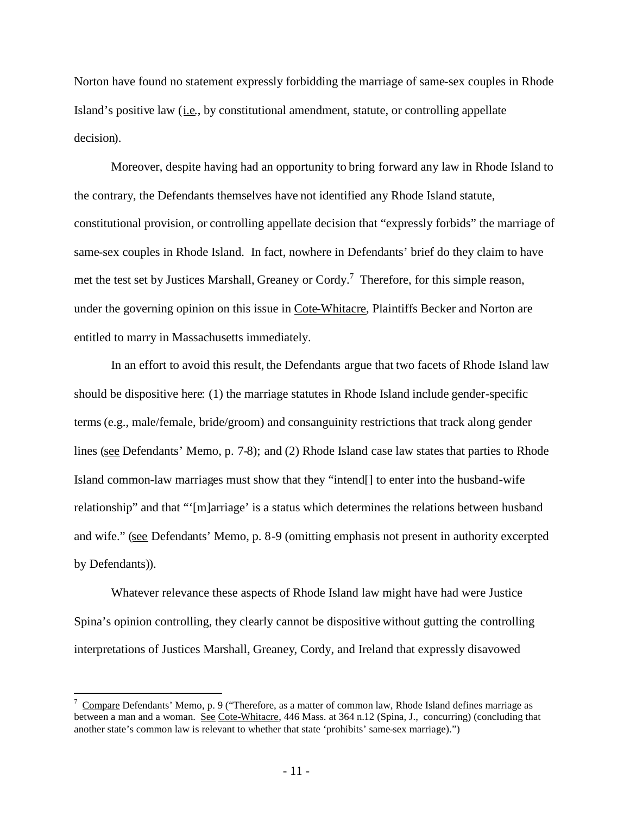Norton have found no statement expressly forbidding the marriage of same-sex couples in Rhode Island's positive law (i.e., by constitutional amendment, statute, or controlling appellate decision).

Moreover, despite having had an opportunity to bring forward any law in Rhode Island to the contrary, the Defendants themselves have not identified any Rhode Island statute, constitutional provision, or controlling appellate decision that "expressly forbids" the marriage of same-sex couples in Rhode Island. In fact, nowhere in Defendants' brief do they claim to have met the test set by Justices Marshall, Greaney or Cordy.<sup>[7](#page-10-0)</sup> Therefore, for this simple reason, under the governing opinion on this issue in Cote-Whitacre, Plaintiffs Becker and Norton are entitled to marry in Massachusetts immediately.

In an effort to avoid this result, the Defendants argue that two facets of Rhode Island law should be dispositive here: (1) the marriage statutes in Rhode Island include gender-specific terms (e.g., male/female, bride/groom) and consanguinity restrictions that track along gender lines (see Defendants' Memo, p. 7-8); and (2) Rhode Island case law states that parties to Rhode Island common-law marriages must show that they "intend[] to enter into the husband-wife relationship" and that "'[m]arriage' is a status which determines the relations between husband and wife." (see Defendants' Memo, p. 8-9 (omitting emphasis not present in authority excerpted by Defendants)).

Whatever relevance these aspects of Rhode Island law might have had were Justice Spina's opinion controlling, they clearly cannot be dispositive without gutting the controlling interpretations of Justices Marshall, Greaney, Cordy, and Ireland that expressly disavowed

<span id="page-10-0"></span><sup>7</sup> Compare Defendants' Memo, p. 9 ("Therefore, as a matter of common law, Rhode Island defines marriage as between a man and a woman. See Cote-Whitacre, 446 Mass. at 364 n.12 (Spina, J., concurring) (concluding that another state's common law is relevant to whether that state 'prohibits' same-sex marriage).")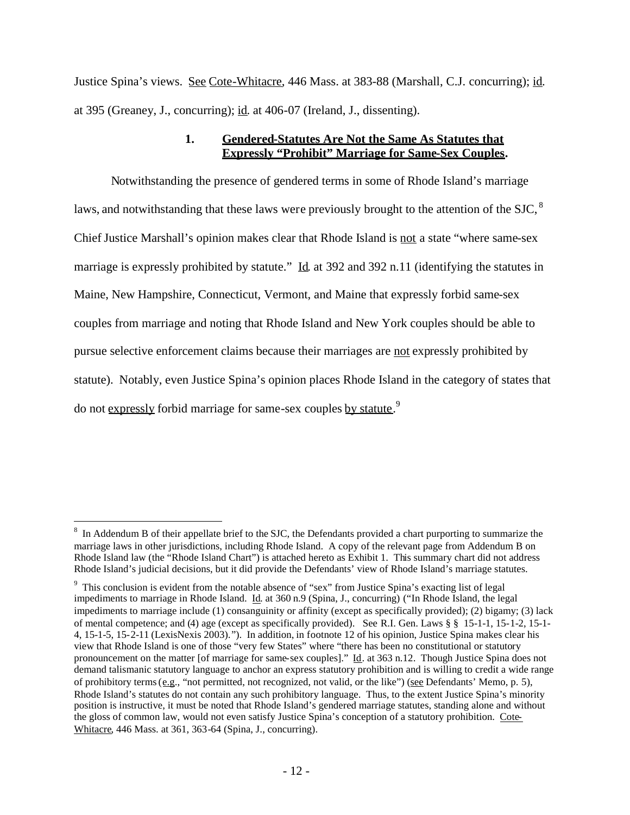Justice Spina's views. See Cote-Whitacre, 446 Mass. at 383-88 (Marshall, C.J. concurring); id. at 395 (Greaney, J., concurring); id. at 406-07 (Ireland, J., dissenting).

### **1. Gendered-Statutes Are Not the Same As Statutes that Expressly "Prohibit" Marriage for Same-Sex Couples.**

Notwithstanding the presence of gendered terms in some of Rhode Island's marriage laws,and notwithstanding that these laws were previously brought to the attention of the SJC,<sup>8</sup> Chief Justice Marshall's opinion makes clear that Rhode Island is not a state "where same-sex" marriage is expressly prohibited by statute." Id. at 392 and 392 n.11 (identifying the statutes in Maine, New Hampshire, Connecticut, Vermont, and Maine that expressly forbid same-sex couples from marriage and noting that Rhode Island and New York couples should be able to pursue selective enforcement claims because their marriages are not expressly prohibited by statute). Notably, even Justice Spina's opinion places Rhode Island in the category of states that do not expressly forbid marriage for same-sex couples by statute.<sup>[9](#page-11-1)</sup>

<span id="page-11-0"></span> $8\,$  In Addendum B of their appellate brief to the SJC, the Defendants provided a chart purporting to summarize the marriage laws in other jurisdictions, including Rhode Island. A copy of the relevant page from Addendum B on Rhode Island law (the "Rhode Island Chart") is attached hereto as Exhibit 1. This summary chart did not address Rhode Island's judicial decisions, but it did provide the Defendants' view of Rhode Island's marriage statutes.

<span id="page-11-1"></span><sup>&</sup>lt;sup>9</sup> This conclusion is evident from the notable absence of "sex" from Justice Spina's exacting list of legal impediments to marriage in Rhode Island. Id. at 360 n.9 (Spina, J., concurring) ("In Rhode Island, the legal impediments to marriage include (1) consanguinity or affinity (except as specifically provided); (2) bigamy; (3) lack of mental competence; and (4) age (except as specifically provided). See R.I. Gen. Laws § § 15-1-1, 15-1-2, 15-1- 4, 15-1-5, 15-2-11 (LexisNexis 2003)."). In addition, in footnote 12 of his opinion, Justice Spina makes clear his view that Rhode Island is one of those "very few States" where "there has been no constitutional or statutory pronouncement on the matter [of marriage for same-sex couples]." Id. at 363 n.12. Though Justice Spina does not demand talismanic statutory language to anchor an express statutory prohibition and is willing to credit a wide range of prohibitory terms (e.g., "not permitted, not recognized, not valid, or the like") (see Defendants' Memo, p. 5), Rhode Island's statutes do not contain any such prohibitory language. Thus, to the extent Justice Spina's minority position is instructive, it must be noted that Rhode Island's gendered marriage statutes, standing alone and without the gloss of common law, would not even satisfy Justice Spina's conception of a statutory prohibition. Cote-Whitacre, 446 Mass. at 361, 363-64 (Spina, J., concurring).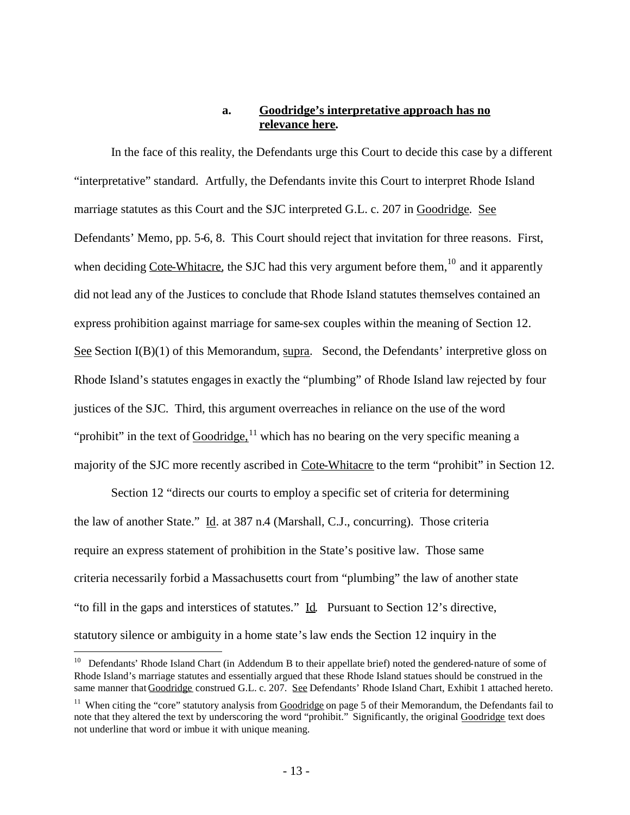## **a. Goodridge's interpretative approach has no relevance here.**

In the face of this reality, the Defendants urge this Court to decide this case by a different "interpretative" standard. Artfully, the Defendants invite this Court to interpret Rhode Island marriage statutes as this Court and the SJC interpreted G.L. c. 207 in Goodridge. See Defendants' Memo, pp. 5-6, 8. This Court should reject that invitation for three reasons. First, when deciding  $\overline{\text{Cote-Whitacre}}$ , the SJC had this very argument before them,  $^{10}$  $^{10}$  $^{10}$  and it apparently did not lead any of the Justices to conclude that Rhode Island statutes themselves contained an express prohibition against marriage for same-sex couples within the meaning of Section 12. See Section I(B)(1) of this Memorandum, supra. Second, the Defendants' interpretive gloss on Rhode Island's statutes engages in exactly the "plumbing" of Rhode Island law rejected by four justices of the SJC. Third, this argument overreaches in reliance on the use of the word "prohibit" in the text of  $Goodridge$ <sup>[11](#page-12-1)</sup> which has no bearing on the very specific meaning a majority of the SJC more recently ascribed in Cote-Whitacre to the term "prohibit" in Section 12.

Section 12 "directs our courts to employ a specific set of criteria for determining the law of another State." Id. at 387 n.4 (Marshall, C.J., concurring). Those criteria require an express statement of prohibition in the State's positive law. Those same criteria necessarily forbid a Massachusetts court from "plumbing" the law of another state "to fill in the gaps and interstices of statutes." Id. Pursuant to Section 12's directive, statutory silence or ambiguity in a home state's law ends the Section 12 inquiry in the

<span id="page-12-0"></span><sup>&</sup>lt;sup>10</sup> Defendants' Rhode Island Chart (in Addendum B to their appellate brief) noted the gendered-nature of some of Rhode Island's marriage statutes and essentially argued that these Rhode Island statues should be construed in the same manner that Goodridge construed G.L. c. 207. See Defendants' Rhode Island Chart, Exhibit 1 attached hereto.

<span id="page-12-1"></span><sup>&</sup>lt;sup>11</sup> When citing the "core" statutory analysis from  $\frac{Goodridge}{\text{one}}$  on page 5 of their Memorandum, the Defendants fail to note that they altered the text by underscoring the word "prohibit." Significantly, the original Goodridge text does not underline that word or imbue it with unique meaning.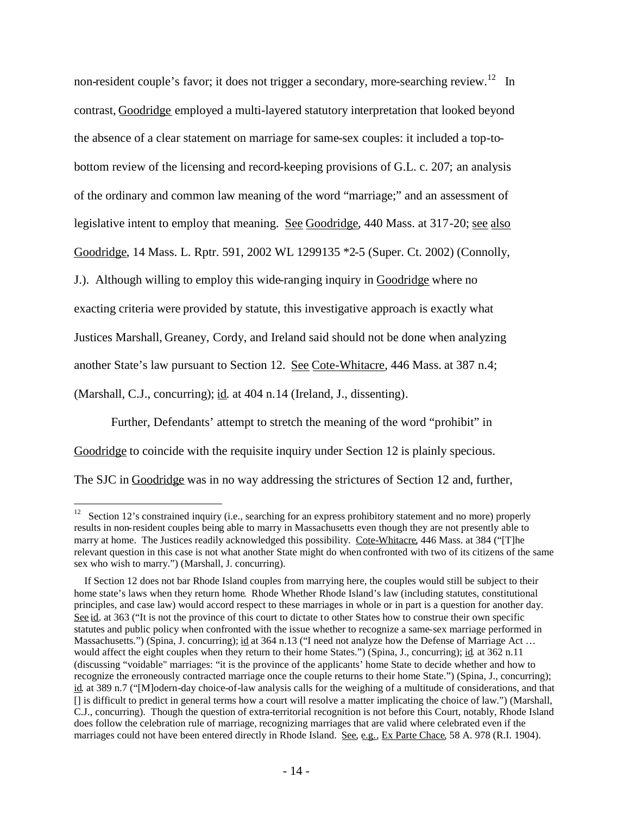non-resident couple's favor; it does not trigger a secondary, more-searching review.<sup>[12](#page-13-0)</sup> In contrast, Goodridge employed a multi-layered statutory interpretation that looked beyond the absence of a clear statement on marriage for same-sex couples: it included a top-tobottom review of the licensing and record-keeping provisions of G.L. c. 207; an analysis of the ordinary and common law meaning of the word "marriage;" and an assessment of legislative intent to employ that meaning. See Goodridge, 440 Mass. at 317-20; see also Goodridge, 14 Mass. L. Rptr. 591, 2002 WL 1299135 \*2-5 (Super. Ct. 2002) (Connolly, J.). Although willing to employ this wide-ranging inquiry in Goodridge where no exacting criteria were provided by statute, this investigative approach is exactly what Justices Marshall, Greaney, Cordy, and Ireland said should not be done when analyzing another State's law pursuant to Section 12. See Cote-Whitacre, 446 Mass. at 387 n.4; (Marshall, C.J., concurring); id. at 404 n.14 (Ireland, J., dissenting).

Further, Defendants' attempt to stretch the meaning of the word "prohibit" in Goodridge to coincide with the requisite inquiry under Section 12 is plainly specious. The SJC in Goodridge was in no way addressing the strictures of Section 12 and, further,

<span id="page-13-0"></span><sup>&</sup>lt;sup>12</sup> Section 12's constrained inquiry (i.e., searching for an express prohibitory statement and no more) properly results in non-resident couples being able to marry in Massachusetts even though they are not presently able to marry at home. The Justices readily acknowledged this possibility. Cote-Whitacre, 446 Mass. at 384 ("[T]he relevant question in this case is not what another State might do when confronted with two of its citizens of the same sex who wish to marry.") (Marshall, J. concurring).

If Section 12 does not bar Rhode Island couples from marrying here, the couples would still be subject to their home state's laws when they return home. Rhode Whether Rhode Island's law (including statutes, constitutional principles, and case law) would accord respect to these marriages in whole or in part is a question for another day. See id. at 363 ("It is not the province of this court to dictate to other States how to construe their own specific statutes and public policy when confronted with the issue whether to recognize a same-sex marriage performed in Massachusetts.") (Spina, J. concurring); id at 364 n.13 ("I need not analyze how the Defense of Marriage Act ... would affect the eight couples when they return to their home States.") (Spina, J., concurring); id. at 362 n.11 (discussing "voidable" marriages: "it is the province of the applicants' home State to decide whether and how to recognize the erroneously contracted marriage once the couple returns to their home State.") (Spina, J., concurring); id. at 389 n.7 ("[M]odern-day choice-of-law analysis calls for the weighing of a multitude of considerations, and that [] is difficult to predict in general terms how a court will resolve a matter implicating the choice of law.") (Marshall, C.J., concurring). Though the question of extra-territorial recognition is not before this Court, notably, Rhode Island does follow the celebration rule of marriage, recognizing marriages that are valid where celebrated even if the marriages could not have been entered directly in Rhode Island. See, e.g., Ex Parte Chace, 58 A. 978 (R.I. 1904).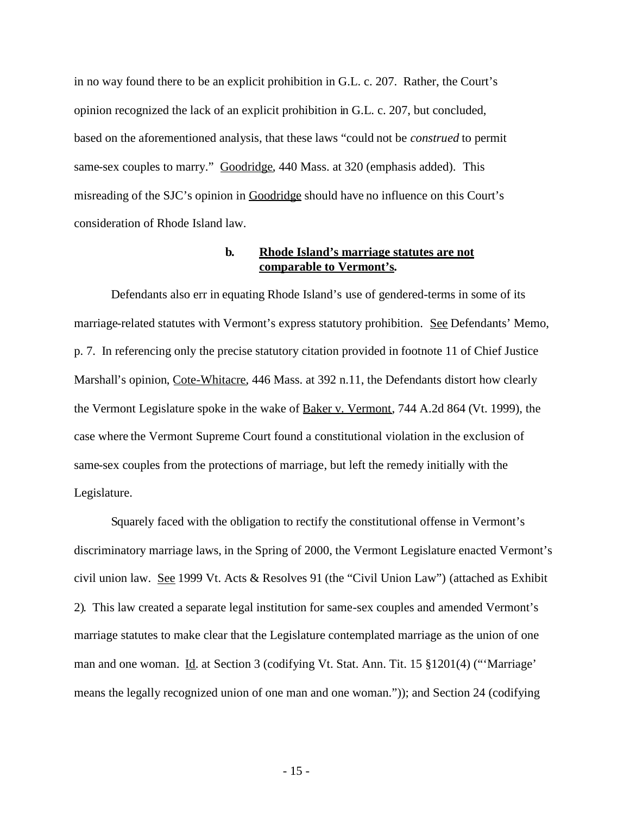in no way found there to be an explicit prohibition in G.L. c. 207. Rather, the Court's opinion recognized the lack of an explicit prohibition in G.L. c. 207, but concluded, based on the aforementioned analysis, that these laws "could not be *construed* to permit same-sex couples to marry." Goodridge, 440 Mass. at 320 (emphasis added). This misreading of the SJC's opinion in Goodridge should have no influence on this Court's consideration of Rhode Island law.

### **b. Rhode Island's marriage statutes are not comparable to Vermont's.**

Defendants also err in equating Rhode Island's use of gendered-terms in some of its marriage-related statutes with Vermont's express statutory prohibition. See Defendants' Memo, p. 7. In referencing only the precise statutory citation provided in footnote 11 of Chief Justice Marshall's opinion, Cote-Whitacre, 446 Mass. at 392 n.11, the Defendants distort how clearly the Vermont Legislature spoke in the wake of Baker v. Vermont, 744 A.2d 864 (Vt. 1999), the case where the Vermont Supreme Court found a constitutional violation in the exclusion of same-sex couples from the protections of marriage, but left the remedy initially with the Legislature.

Squarely faced with the obligation to rectify the constitutional offense in Vermont's discriminatory marriage laws, in the Spring of 2000, the Vermont Legislature enacted Vermont's civil union law. See 1999 Vt. Acts & Resolves 91 (the "Civil Union Law") (attached as Exhibit 2). This law created a separate legal institution for same-sex couples and amended Vermont's marriage statutes to make clear that the Legislature contemplated marriage as the union of one man and one woman. Id. at Section 3 (codifying Vt. Stat. Ann. Tit. 15 §1201(4) ("'Marriage' means the legally recognized union of one man and one woman.")); and Section 24 (codifying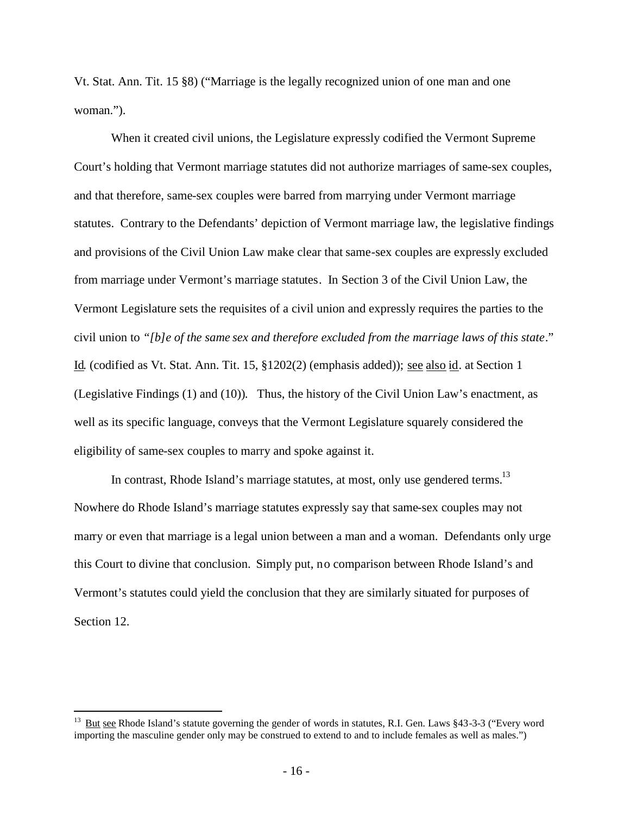Vt. Stat. Ann. Tit. 15 §8) ("Marriage is the legally recognized union of one man and one woman.").

When it created civil unions, the Legislature expressly codified the Vermont Supreme Court's holding that Vermont marriage statutes did not authorize marriages of same-sex couples, and that therefore, same-sex couples were barred from marrying under Vermont marriage statutes. Contrary to the Defendants' depiction of Vermont marriage law, the legislative findings and provisions of the Civil Union Law make clear that same-sex couples are expressly excluded from marriage under Vermont's marriage statutes. In Section 3 of the Civil Union Law, the Vermont Legislature sets the requisites of a civil union and expressly requires the parties to the civil union to *"[b]e of the same sex and therefore excluded from the marriage laws of this state*." Id. (codified as Vt. Stat. Ann. Tit. 15, §1202(2) (emphasis added)); see also id. at Section 1 (Legislative Findings (1) and (10)). Thus, the history of the Civil Union Law's enactment, as well as its specific language, conveys that the Vermont Legislature squarely considered the eligibility of same-sex couples to marry and spoke against it.

In contrast, Rhode Island's marriage statutes, at most, only use gendered terms.<sup>[13](#page-15-0)</sup> Nowhere do Rhode Island's marriage statutes expressly say that same-sex couples may not marry or even that marriage is a legal union between a man and a woman. Defendants only urge this Court to divine that conclusion. Simply put, no comparison between Rhode Island's and Vermont's statutes could yield the conclusion that they are similarly situated for purposes of Section 12.

<span id="page-15-0"></span><sup>&</sup>lt;sup>13</sup> But see Rhode Island's statute governing the gender of words in statutes, R.I. Gen. Laws  $§$ 43-3-3 ("Every word importing the masculine gender only may be construed to extend to and to include females as well as males.")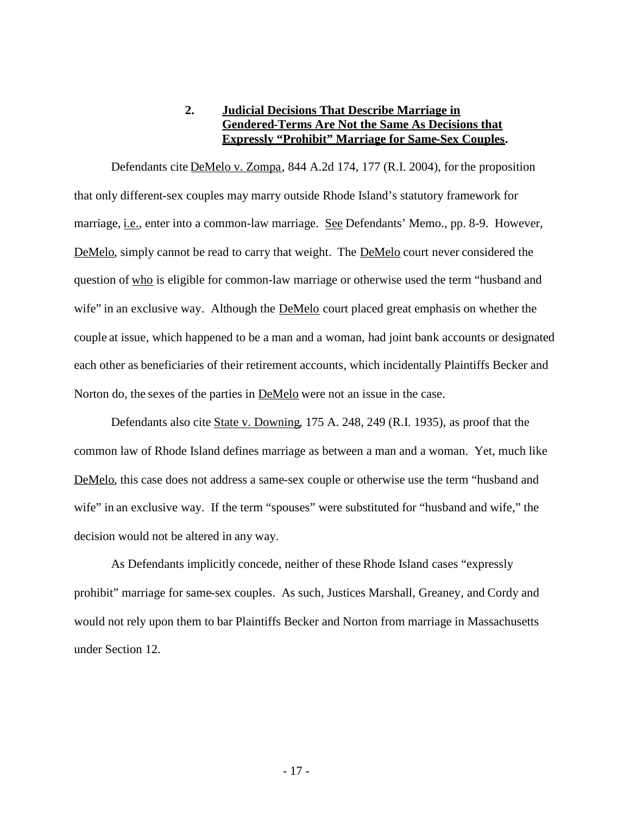# **2. Judicial Decisions That Describe Marriage in Gendered-Terms Are Not the Same As Decisions that Expressly "Prohibit" Marriage for Same-Sex Couples.**

Defendants cite DeMelo v. Zompa, 844 A.2d 174, 177 (R.I. 2004), for the proposition that only different-sex couples may marry outside Rhode Island's statutory framework for marriage, *i.e.*, enter into a common-law marriage. See Defendants' Memo., pp. 8-9. However, DeMelo, simply cannot be read to carry that weight. The DeMelo court never considered the question of who is eligible for common-law marriage or otherwise used the term "husband and wife" in an exclusive way. Although the **DeMelo** court placed great emphasis on whether the couple at issue, which happened to be a man and a woman, had joint bank accounts or designated each other as beneficiaries of their retirement accounts, which incidentally Plaintiffs Becker and Norton do, the sexes of the parties in DeMelo were not an issue in the case.

Defendants also cite State v. Downing, 175 A. 248, 249 (R.I. 1935), as proof that the common law of Rhode Island defines marriage as between a man and a woman. Yet, much like DeMelo, this case does not address a same-sex couple or otherwise use the term "husband and wife" in an exclusive way. If the term "spouses" were substituted for "husband and wife," the decision would not be altered in any way.

As Defendants implicitly concede, neither of these Rhode Island cases "expressly prohibit" marriage for same-sex couples. As such, Justices Marshall, Greaney, and Cordy and would not rely upon them to bar Plaintiffs Becker and Norton from marriage in Massachusetts under Section 12.